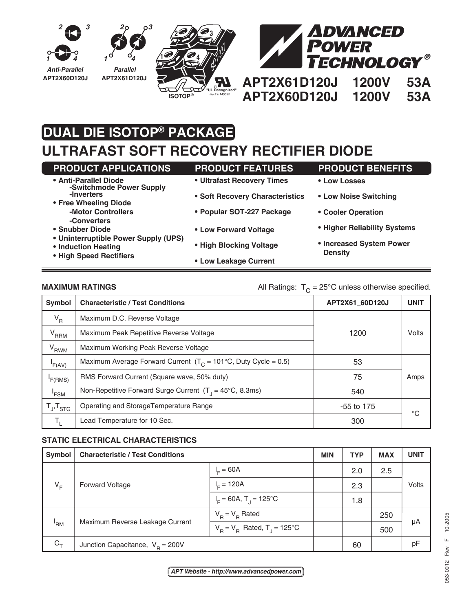

# **DUAL DIE ISOTOP® PACKAGE**

## **ULTRAFAST SOFT RECOVERY RECTIFIER DIODE**

| <b>PRODUCT APPLICATIONS</b>                                                                                                                                                                                                                | <b>PRODUCT FEATURES</b>         | <b>PRODUCT BENEFITS</b>                    |  |  |  |
|--------------------------------------------------------------------------------------------------------------------------------------------------------------------------------------------------------------------------------------------|---------------------------------|--------------------------------------------|--|--|--|
| • Anti-Parallel Diode<br>-Switchmode Power Supply<br>-Inverters<br>• Free Wheeling Diode<br>-Motor Controllers<br>-Converters<br>• Snubber Diode<br>• Uninterruptible Power Supply (UPS)<br>• Induction Heating<br>• High Speed Rectifiers | • Ultrafast Recovery Times      | • Low Losses                               |  |  |  |
|                                                                                                                                                                                                                                            | • Soft Recovery Characteristics | • Low Noise Switching                      |  |  |  |
|                                                                                                                                                                                                                                            |                                 |                                            |  |  |  |
|                                                                                                                                                                                                                                            | • Popular SOT-227 Package       | • Cooler Operation                         |  |  |  |
|                                                                                                                                                                                                                                            | • Low Forward Voltage           | • Higher Reliability Systems               |  |  |  |
|                                                                                                                                                                                                                                            | • High Blocking Voltage         | • Increased System Power<br><b>Density</b> |  |  |  |
|                                                                                                                                                                                                                                            | • Low Leakage Current           |                                            |  |  |  |

<u> 1989 - Johann Barnett, mars et al. 1989 - Anna ann an t-Anna ann an t-Anna ann an t-Anna ann an t-Anna ann an</u>

### **MAXIMUM RATINGS** MAXIMUM **RATINGS** All Ratings:  $T_c = 25^\circ \text{C}$  unless otherwise specified.

| Symbol              | <b>Characteristic / Test Conditions</b>                                   | APT2X61 60D120J | <b>UNIT</b> |
|---------------------|---------------------------------------------------------------------------|-----------------|-------------|
| $V_R$               | Maximum D.C. Reverse Voltage                                              |                 |             |
| $V_{RRM}$           | Maximum Peak Repetitive Reverse Voltage                                   | 1200            | Volts       |
| V <sub>RWM</sub>    | Maximum Working Peak Reverse Voltage                                      |                 |             |
| F(AV)               | Maximum Average Forward Current $(T_c = 101^{\circ}C,$ Duty Cycle = 0.5)  | 53              |             |
| F(RMS)              | RMS Forward Current (Square wave, 50% duty)                               | 75              | Amps        |
| 'FSM                | Non-Repetitive Forward Surge Current $(T_1 = 45^{\circ}C, 8.3 \text{ms})$ | 540             |             |
| $T_{J}$ , $T_{STG}$ | Operating and StorageTemperature Range                                    | $-55$ to 175    |             |
| Т.                  | Lead Temperature for 10 Sec.                                              | 300             | °C          |

#### **STATIC ELECTRICAL CHARACTERISTICS**

| Symbol     | <b>Characteristic / Test Conditions</b> |                                           | <b>MIN</b> | <b>TYP</b> | <b>MAX</b> | <b>UNIT</b> |
|------------|-----------------------------------------|-------------------------------------------|------------|------------|------------|-------------|
| $V_F$      | <b>Forward Voltage</b>                  | $I_{E} = 60A$                             |            | 2.0        | 2.5        | Volts       |
|            |                                         | $I_c = 120A$                              |            | 2.3        |            |             |
|            |                                         | $I_F = 60A$ , T <sub>J</sub> = 125°C      |            | 1.8        |            |             |
| 'RM        | Maximum Reverse Leakage Current         | $V_B = V_B$ Rated                         |            |            | 250        |             |
|            |                                         | $V_B = V_B$ Rated, T <sub>J</sub> = 125°C |            |            | 500        | μA          |
| $C_{\tau}$ | Junction Capacitance, $V_B = 200V$      |                                           |            | 60         |            | pF          |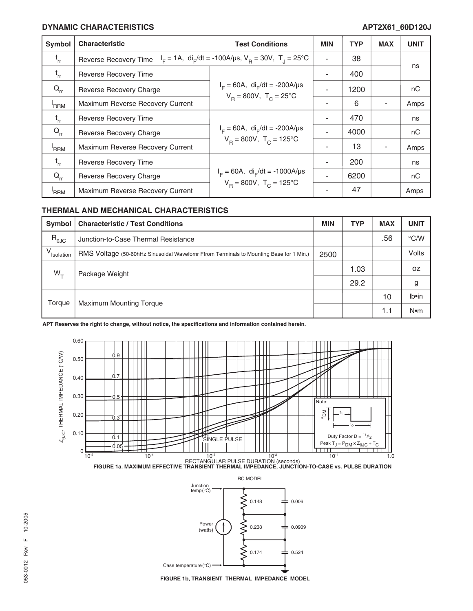#### **DYNAMIC CHARACTERISTICS APT2X61\_60D120J**

| Symbol           | <b>Characteristic</b>                                                                                             | <b>Test Conditions</b>                                                               | <b>MIN</b> | <b>TYP</b> | <b>MAX</b> | <b>UNIT</b> |
|------------------|-------------------------------------------------------------------------------------------------------------------|--------------------------------------------------------------------------------------|------------|------------|------------|-------------|
| $t_{rr}$         | $I_F = 1A$ , di <sub>r</sub> /dt = -100A/us, V <sub>B</sub> = 30V, T <sub>J</sub> = 25°C<br>Reverse Recovery Time |                                                                                      |            | 38         |            |             |
| $t_{rr}$         | <b>Reverse Recovery Time</b>                                                                                      | $I_F = 60A$ , di <sub>r</sub> /dt = -200A/µs<br>$V_B = 800V$ , $T_C = 25^{\circ}C$   |            | 400        |            | ns          |
| $Q_{rr}$         | Reverse Recovery Charge                                                                                           |                                                                                      |            | 1200       |            | nC          |
| <sup>'</sup> RRM | Maximum Reverse Recovery Current                                                                                  |                                                                                      |            | 6          |            | Amps        |
| $t_{rr}$         | <b>Reverse Recovery Time</b>                                                                                      | $I_F = 60A$ , di <sub>F</sub> /dt = -200A/µs<br>$V_B = 800V$ , $T_C = 125^{\circ}C$  |            | 470        |            | ns          |
| $Q_{rr}$         | <b>Reverse Recovery Charge</b>                                                                                    |                                                                                      |            | 4000       |            | nC          |
| <sup>'</sup> RRM | Maximum Reverse Recovery Current                                                                                  |                                                                                      |            | 13         |            | Amps        |
| $t_{rr}$         | <b>Reverse Recovery Time</b>                                                                                      | $I_F = 60A$ , di <sub>F</sub> /dt = -1000A/µs<br>$V_B = 800V$ , $T_C = 125^{\circ}C$ |            | 200        |            | ns          |
| $Q_{rr}$         | Reverse Recovery Charge                                                                                           |                                                                                      |            | 6200       |            | nC          |
| 'RRM             | Maximum Reverse Recovery Current                                                                                  |                                                                                      |            | 47         |            | Amps        |

### **THERMAL AND MECHANICAL CHARACTERISTICS**

| Symbol                 | <b>Characteristic / Test Conditions</b>                                                | <b>MIN</b> | <b>TYP</b> | <b>MAX</b> | <b>UNIT</b>   |
|------------------------|----------------------------------------------------------------------------------------|------------|------------|------------|---------------|
| $R_{0JC}$              | Junction-to-Case Thermal Resistance                                                    |            |            | .56        | $\degree$ C/W |
| V <sub>Isolation</sub> | RMS Voltage (50-60hHz Sinusoidal Wavefomr Ffrom Terminals to Mounting Base for 1 Min.) | 2500       |            |            | Volts         |
| $W_{+}$                | Package Weight                                                                         |            | 1.03       |            | 0Z            |
|                        |                                                                                        |            | 29.2       |            | g             |
| Torque                 | <b>Maximum Mounting Torque</b>                                                         |            |            | 10         | Ib•in         |
|                        |                                                                                        |            |            | 1.1        | $N$ •m        |

**APT Reserves the right to change, without notice, the specifications and information contained herein.**







**FIGURE 1b, TRANSIENT THERMAL IMPEDANCE MODEL**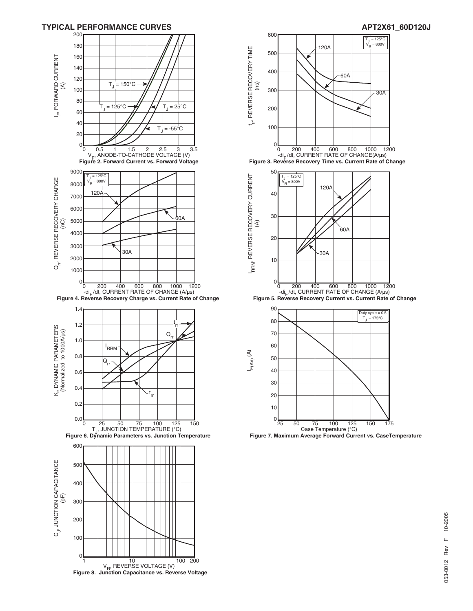